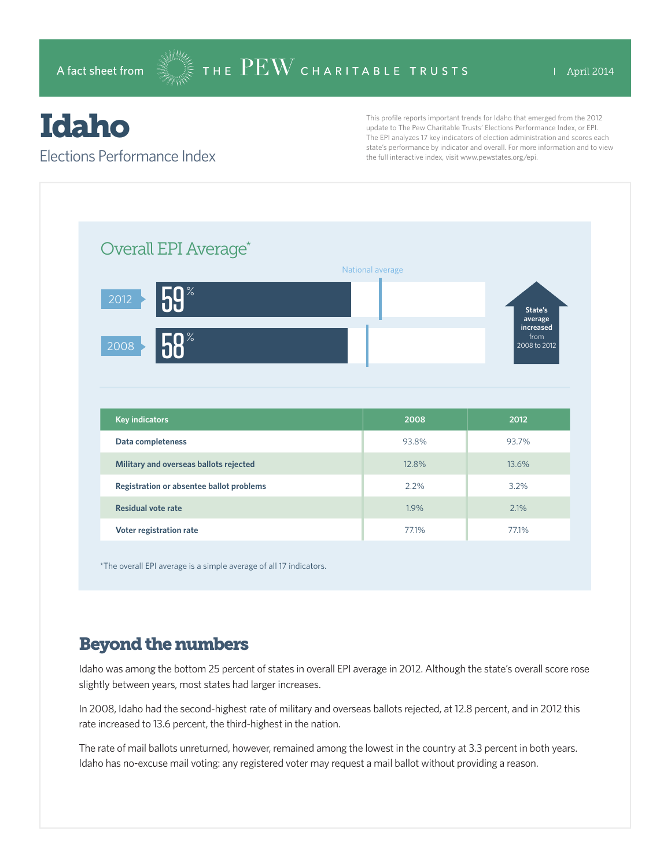# Idaho

#### Elections Performance Index

This profile reports important trends for Idaho that emerged from the 2012 update to The Pew Charitable Trusts' Elections Performance Index, or EPI. The EPI analyzes 17 key indicators of election administration and scores each state's performance by indicator and overall. For more information and to view the full interactive index, visit www.pewstates.org/epi.

| Overall EPI Average*                     |                  |                              |
|------------------------------------------|------------------|------------------------------|
|                                          | National average |                              |
| 59 <sup>°</sup><br>2012                  |                  | State's                      |
|                                          |                  | average<br>increased<br>from |
| <b>CO</b> %<br>2008                      |                  | 2008 to 2012                 |
|                                          |                  |                              |
|                                          |                  |                              |
|                                          |                  |                              |
| <b>Key indicators</b>                    | 2008             | 2012                         |
| Data completeness                        | 93.8%            | 93.7%                        |
| Military and overseas ballots rejected   | 12.8%            | 13.6%                        |
| Registration or absentee ballot problems | 2.2%             | 3.2%                         |
| <b>Residual vote rate</b>                | 1.9%             | 2.1%                         |

\*The overall EPI average is a simple average of all 17 indicators.

# Beyond the numbers

Idaho was among the bottom 25 percent of states in overall EPI average in 2012. Although the state's overall score rose slightly between years, most states had larger increases.

In 2008, Idaho had the second-highest rate of military and overseas ballots rejected, at 12.8 percent, and in 2012 this rate increased to 13.6 percent, the third-highest in the nation.

The rate of mail ballots unreturned, however, remained among the lowest in the country at 3.3 percent in both years. Idaho has no-excuse mail voting: any registered voter may request a mail ballot without providing a reason.